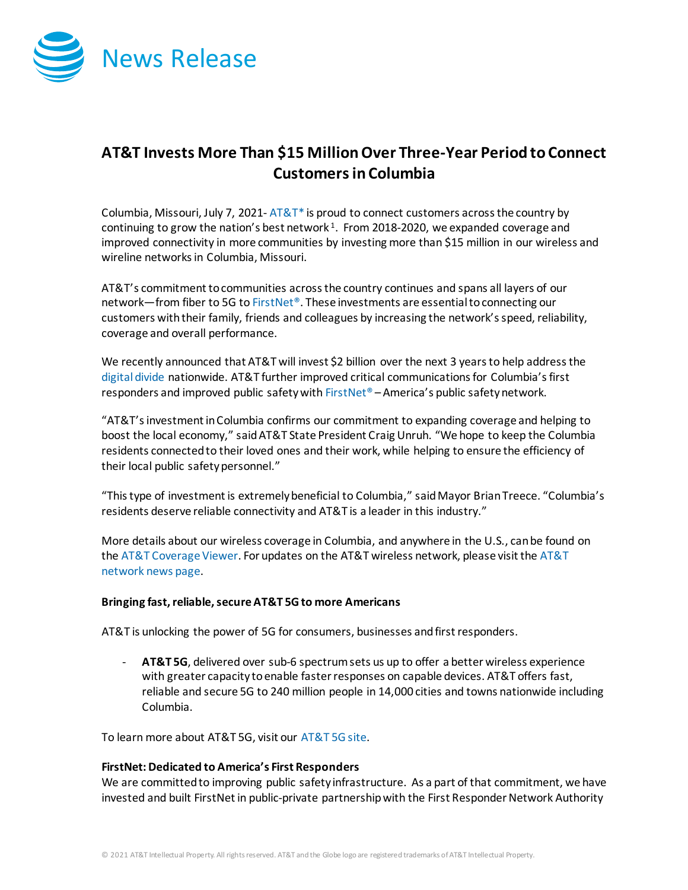

## **AT&T Invests More Than \$15 Million Over Three-Year Period to Connect Customersin Columbia**

Columbia, Missouri, July 7, 2021-  $AT&T^*$  is proud to connect customers across the country by continuing to grow the nation's best network<sup>1</sup>. From 2018-2020, we expanded coverage and improved connectivity in more communities by investing more than \$15 million in our wireless and wireline networks in Columbia, Missouri.

AT&T's commitment to communities across the country continues and spans all layers of our network—from fiber to 5G t[o FirstNet®](http://www.firstnet.com/). These investments are essential to connecting our customers with their family, friends and colleagues by increasing the network's speed, reliability, coverage and overall performance.

We recently announced that AT&T will invest \$2 billion over the next 3 years to help address the [digital divide](https://about.att.com/story/2021/digital_divide.html) nationwide. AT&T further improved critical communications for Columbia's first responders and improved public safety wit[h FirstNet®](http://www.firstnet.com/) – America's public safety network.

"AT&T's investment in Columbia confirms our commitment to expanding coverage and helping to boost the local economy," said AT&T State President Craig Unruh. "We hope to keep the Columbia residents connected to their loved ones and their work, while helping to ensure the efficiency of their local public safety personnel."

"This type of investment is extremely beneficial to Columbia," said Mayor Brian Treece. "Columbia's residents deserve reliable connectivity and AT&T is a leader in this industry."

More details about our wireless coverage in Columbia, and anywhere in the U.S., can be found on th[e AT&T Coverage Viewer.](https://www.att.com/maps/wireless-coverage.html) For updates on the AT&T wireless network, please visit th[e AT&T](https://about.att.com/innovation/network_and_field_operations)  [network news page.](https://about.att.com/innovation/network_and_field_operations)

## **Bringing fast, reliable, secure AT&T 5G to more Americans**

AT&T is unlocking the power of 5G for consumers, businesses and first responders.

- **AT&T 5G**, delivered over sub-6 spectrum sets us up to offer a better wireless experience with greater capacity to enable faster responses on capable devices. AT&T offers fast, reliable and secure 5G to 240 million people in 14,000 cities and towns nationwide including Columbia.

To learn more about AT&T 5G, visit our [AT&T 5G site.](https://www.att.com/5g/)

## **FirstNet: Dedicated to America's First Responders**

We are committed to improving public safety infrastructure. As a part of that commitment, we have invested and built FirstNet in public-private partnership with the First Responder Network Authority